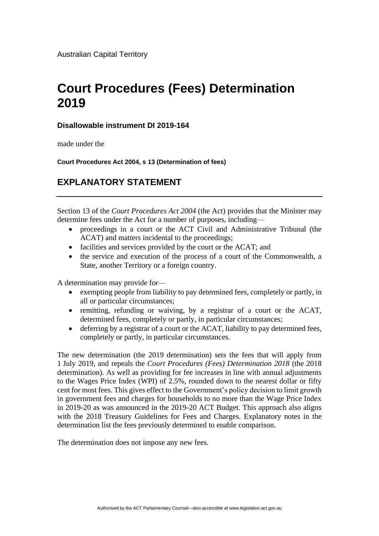Australian Capital Territory

## **Court Procedures (Fees) Determination 2019**

## **Disallowable instrument DI 2019-164**

made under the

**Court Procedures Act 2004, s 13 (Determination of fees)**

## **EXPLANATORY STATEMENT**

Section 13 of the *Court Procedures Act 2004* (the Act) provides that the Minister may determine fees under the Act for a number of purposes, including—

- proceedings in a court or the ACT Civil and Administrative Tribunal (the ACAT) and matters incidental to the proceedings;
- facilities and services provided by the court or the ACAT; and
- the service and execution of the process of a court of the Commonwealth, a State, another Territory or a foreign country.

A determination may provide for—

- exempting people from liability to pay determined fees, completely or partly, in all or particular circumstances;
- remitting, refunding or waiving, by a registrar of a court or the ACAT, determined fees, completely or partly, in particular circumstances;
- deferring by a registrar of a court or the ACAT, liability to pay determined fees, completely or partly, in particular circumstances.

The new determination (the 2019 determination) sets the fees that will apply from 1 July 2019, and repeals the *Court Procedures (Fees) Determination 2018* (the 2018 determination). As well as providing for fee increases in line with annual adjustments to the Wages Price Index (WPI) of 2.5%, rounded down to the nearest dollar or fifty cent for most fees. This gives effect to the Government's policy decision to limit growth in government fees and charges for households to no more than the Wage Price Index in 2019-20 as was announced in the 2019-20 ACT Budget. This approach also aligns with the 2018 Treasury Guidelines for Fees and Charges. Explanatory notes in the determination list the fees previously determined to enable comparison.

The determination does not impose any new fees.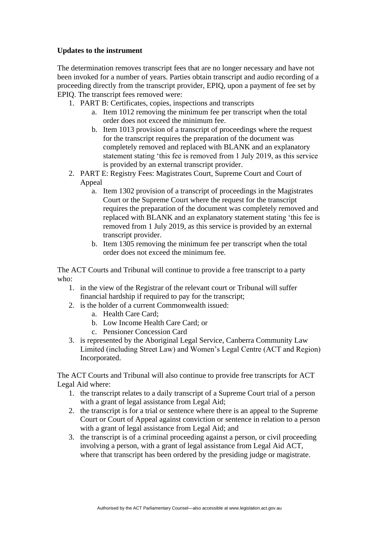## **Updates to the instrument**

The determination removes transcript fees that are no longer necessary and have not been invoked for a number of years. Parties obtain transcript and audio recording of a proceeding directly from the transcript provider, EPIQ, upon a payment of fee set by EPIQ. The transcript fees removed were:

- 1. PART B: Certificates, copies, inspections and transcripts
	- a. Item 1012 removing the minimum fee per transcript when the total order does not exceed the minimum fee.
	- b. Item 1013 provision of a transcript of proceedings where the request for the transcript requires the preparation of the document was completely removed and replaced with BLANK and an explanatory statement stating 'this fee is removed from 1 July 2019, as this service is provided by an external transcript provider.
- 2. PART E: Registry Fees: Magistrates Court, Supreme Court and Court of Appeal
	- a. Item 1302 provision of a transcript of proceedings in the Magistrates Court or the Supreme Court where the request for the transcript requires the preparation of the document was completely removed and replaced with BLANK and an explanatory statement stating 'this fee is removed from 1 July 2019, as this service is provided by an external transcript provider.
	- b. Item 1305 removing the minimum fee per transcript when the total order does not exceed the minimum fee.

The ACT Courts and Tribunal will continue to provide a free transcript to a party who:

- 1. in the view of the Registrar of the relevant court or Tribunal will suffer financial hardship if required to pay for the transcript;
- 2. is the holder of a current Commonwealth issued:
	- a. Health Care Card;
	- b. Low Income Health Care Card; or
	- c. Pensioner Concession Card
- 3. is represented by the Aboriginal Legal Service, Canberra Community Law Limited (including Street Law) and Women's Legal Centre (ACT and Region) Incorporated.

The ACT Courts and Tribunal will also continue to provide free transcripts for ACT Legal Aid where:

- 1. the transcript relates to a daily transcript of a Supreme Court trial of a person with a grant of legal assistance from Legal Aid;
- 2. the transcript is for a trial or sentence where there is an appeal to the Supreme Court or Court of Appeal against conviction or sentence in relation to a person with a grant of legal assistance from Legal Aid; and
- 3. the transcript is of a criminal proceeding against a person, or civil proceeding involving a person, with a grant of legal assistance from Legal Aid ACT, where that transcript has been ordered by the presiding judge or magistrate.